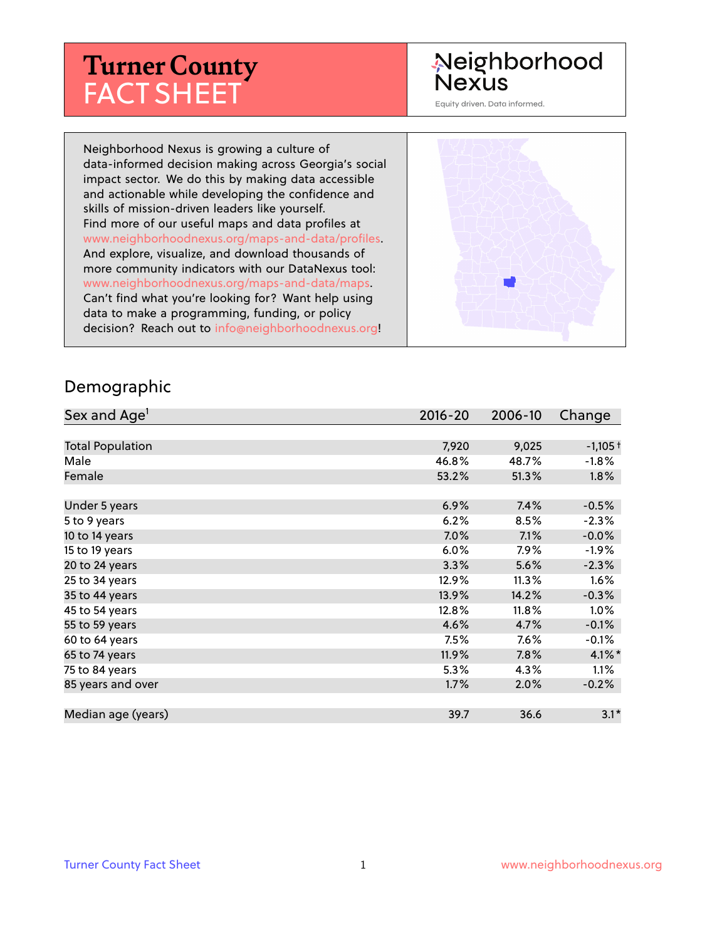# **Turner County** FACT SHEET

# Neighborhood **Nexus**

Equity driven. Data informed.

Neighborhood Nexus is growing a culture of data-informed decision making across Georgia's social impact sector. We do this by making data accessible and actionable while developing the confidence and skills of mission-driven leaders like yourself. Find more of our useful maps and data profiles at www.neighborhoodnexus.org/maps-and-data/profiles. And explore, visualize, and download thousands of more community indicators with our DataNexus tool: www.neighborhoodnexus.org/maps-and-data/maps. Can't find what you're looking for? Want help using data to make a programming, funding, or policy decision? Reach out to [info@neighborhoodnexus.org!](mailto:info@neighborhoodnexus.org)



#### Demographic

| Sex and Age <sup>1</sup> | $2016 - 20$ | 2006-10 | Change               |
|--------------------------|-------------|---------|----------------------|
|                          |             |         |                      |
| <b>Total Population</b>  | 7,920       | 9,025   | $-1,105+$            |
| Male                     | 46.8%       | 48.7%   | $-1.8\%$             |
| Female                   | 53.2%       | 51.3%   | $1.8\%$              |
|                          |             |         |                      |
| Under 5 years            | 6.9%        | 7.4%    | $-0.5%$              |
| 5 to 9 years             | 6.2%        | 8.5%    | $-2.3%$              |
| 10 to 14 years           | $7.0\%$     | 7.1%    | $-0.0\%$             |
| 15 to 19 years           | 6.0%        | $7.9\%$ | $-1.9\%$             |
| 20 to 24 years           | 3.3%        | 5.6%    | $-2.3%$              |
| 25 to 34 years           | 12.9%       | 11.3%   | 1.6%                 |
| 35 to 44 years           | 13.9%       | 14.2%   | $-0.3%$              |
| 45 to 54 years           | 12.8%       | 11.8%   | $1.0\%$              |
| 55 to 59 years           | 4.6%        | 4.7%    | $-0.1%$              |
| 60 to 64 years           | 7.5%        | 7.6%    | $-0.1\%$             |
| 65 to 74 years           | 11.9%       | $7.8\%$ | $4.1\%$ <sup>*</sup> |
| 75 to 84 years           | 5.3%        | 4.3%    | $1.1\%$              |
| 85 years and over        | 1.7%        | 2.0%    | $-0.2%$              |
|                          |             |         |                      |
| Median age (years)       | 39.7        | 36.6    | $3.1*$               |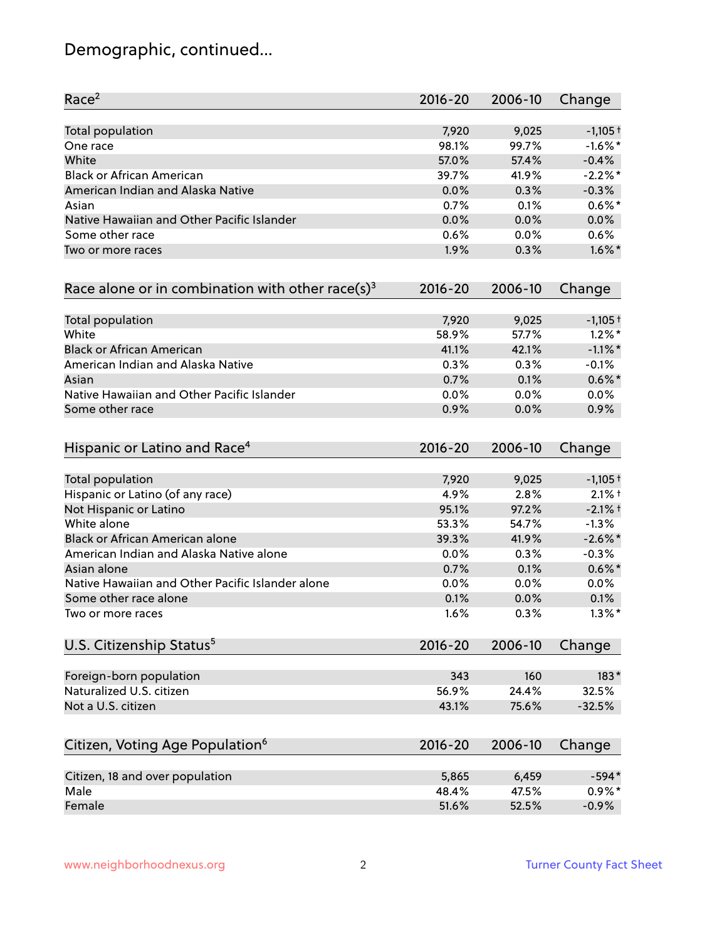# Demographic, continued...

| Race <sup>2</sup>                                   | $2016 - 20$ | 2006-10 | Change     |
|-----------------------------------------------------|-------------|---------|------------|
| Total population                                    | 7,920       | 9,025   | $-1,105+$  |
| One race                                            | 98.1%       | 99.7%   | $-1.6\%$ * |
| White                                               | 57.0%       | 57.4%   | $-0.4%$    |
| <b>Black or African American</b>                    | 39.7%       | 41.9%   | $-2.2\%$ * |
| American Indian and Alaska Native                   | 0.0%        | 0.3%    | $-0.3%$    |
| Asian                                               | 0.7%        | 0.1%    | $0.6\%$ *  |
| Native Hawaiian and Other Pacific Islander          | 0.0%        | 0.0%    | 0.0%       |
| Some other race                                     | 0.6%        | 0.0%    | 0.6%       |
| Two or more races                                   | 1.9%        | 0.3%    | $1.6\%$ *  |
| Race alone or in combination with other race(s) $3$ | $2016 - 20$ | 2006-10 | Change     |
| Total population                                    | 7,920       | 9,025   | $-1,105+$  |
| White                                               | 58.9%       | 57.7%   | $1.2\%$ *  |
| <b>Black or African American</b>                    | 41.1%       | 42.1%   | $-1.1\%$ * |
| American Indian and Alaska Native                   | 0.3%        | 0.3%    | $-0.1%$    |
| Asian                                               | 0.7%        | 0.1%    | $0.6\%$ *  |
| Native Hawaiian and Other Pacific Islander          | 0.0%        | 0.0%    | 0.0%       |
| Some other race                                     | 0.9%        | 0.0%    | 0.9%       |
| Hispanic or Latino and Race <sup>4</sup>            | $2016 - 20$ | 2006-10 | Change     |
| <b>Total population</b>                             | 7,920       | 9,025   | $-1,105+$  |
| Hispanic or Latino (of any race)                    | 4.9%        | 2.8%    | $2.1%$ †   |
| Not Hispanic or Latino                              | 95.1%       | 97.2%   | $-2.1%$ +  |
| White alone                                         | 53.3%       | 54.7%   | $-1.3%$    |
| Black or African American alone                     | 39.3%       | 41.9%   | $-2.6\%$ * |
| American Indian and Alaska Native alone             | 0.0%        | 0.3%    | $-0.3%$    |
| Asian alone                                         | 0.7%        | 0.1%    | $0.6\%$ *  |
| Native Hawaiian and Other Pacific Islander alone    | 0.0%        | 0.0%    | $0.0\%$    |
| Some other race alone                               | 0.1%        | 0.0%    | 0.1%       |
| Two or more races                                   | 1.6%        | 0.3%    | $1.3\%$ *  |
| U.S. Citizenship Status <sup>5</sup>                | $2016 - 20$ | 2006-10 | Change     |
| Foreign-born population                             | 343         | 160     | $183*$     |
| Naturalized U.S. citizen                            | 56.9%       | 24.4%   | 32.5%      |
| Not a U.S. citizen                                  | 43.1%       | 75.6%   | $-32.5%$   |
|                                                     |             |         |            |
| Citizen, Voting Age Population <sup>6</sup>         | $2016 - 20$ | 2006-10 | Change     |
| Citizen, 18 and over population                     | 5,865       | 6,459   | $-594*$    |
| Male                                                | 48.4%       | 47.5%   | $0.9\% *$  |
| Female                                              | 51.6%       | 52.5%   | $-0.9%$    |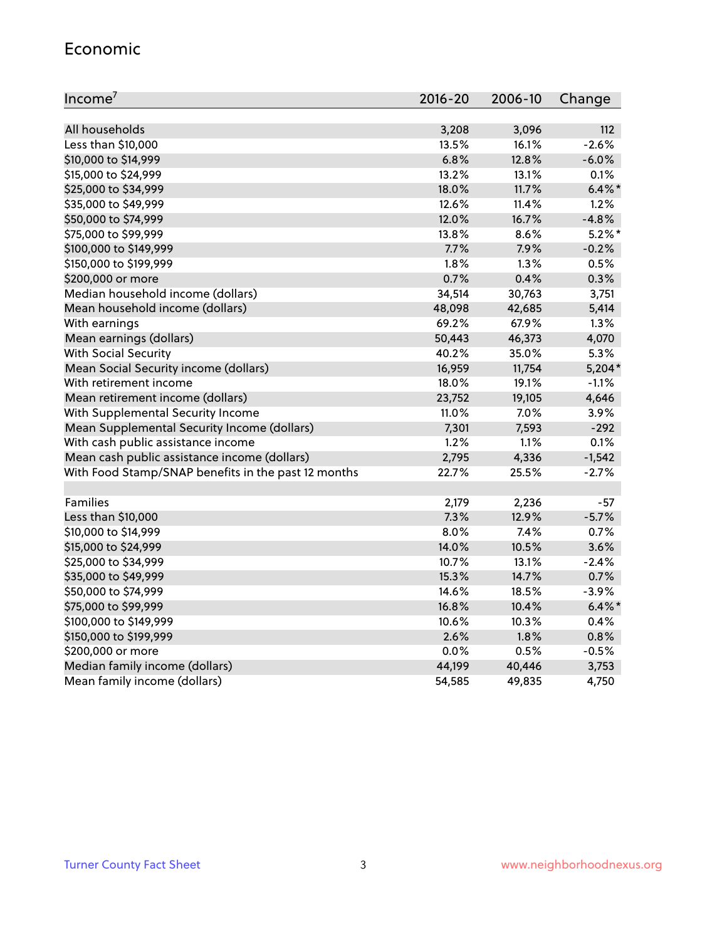#### Economic

| Income <sup>7</sup>                                 | $2016 - 20$ | 2006-10 | Change    |
|-----------------------------------------------------|-------------|---------|-----------|
|                                                     |             |         |           |
| All households                                      | 3,208       | 3,096   | 112       |
| Less than \$10,000                                  | 13.5%       | 16.1%   | $-2.6%$   |
| \$10,000 to \$14,999                                | 6.8%        | 12.8%   | $-6.0%$   |
| \$15,000 to \$24,999                                | 13.2%       | 13.1%   | 0.1%      |
| \$25,000 to \$34,999                                | 18.0%       | 11.7%   | $6.4\%$ * |
| \$35,000 to \$49,999                                | 12.6%       | 11.4%   | 1.2%      |
| \$50,000 to \$74,999                                | 12.0%       | 16.7%   | $-4.8%$   |
| \$75,000 to \$99,999                                | 13.8%       | 8.6%    | $5.2\%$ * |
| \$100,000 to \$149,999                              | 7.7%        | 7.9%    | $-0.2%$   |
| \$150,000 to \$199,999                              | 1.8%        | 1.3%    | 0.5%      |
| \$200,000 or more                                   | 0.7%        | 0.4%    | 0.3%      |
| Median household income (dollars)                   | 34,514      | 30,763  | 3,751     |
| Mean household income (dollars)                     | 48,098      | 42,685  | 5,414     |
| With earnings                                       | 69.2%       | 67.9%   | 1.3%      |
| Mean earnings (dollars)                             | 50,443      | 46,373  | 4,070     |
| <b>With Social Security</b>                         | 40.2%       | 35.0%   | 5.3%      |
| Mean Social Security income (dollars)               | 16,959      | 11,754  | $5,204*$  |
| With retirement income                              | 18.0%       | 19.1%   | $-1.1%$   |
| Mean retirement income (dollars)                    | 23,752      | 19,105  | 4,646     |
| With Supplemental Security Income                   | 11.0%       | $7.0\%$ | 3.9%      |
| Mean Supplemental Security Income (dollars)         | 7,301       | 7,593   | $-292$    |
| With cash public assistance income                  | 1.2%        | 1.1%    | 0.1%      |
| Mean cash public assistance income (dollars)        | 2,795       | 4,336   | $-1,542$  |
| With Food Stamp/SNAP benefits in the past 12 months | 22.7%       | 25.5%   | $-2.7%$   |
|                                                     |             |         |           |
| Families                                            | 2,179       | 2,236   | -57       |
| Less than \$10,000                                  | 7.3%        | 12.9%   | $-5.7%$   |
| \$10,000 to \$14,999                                | 8.0%        | 7.4%    | 0.7%      |
| \$15,000 to \$24,999                                | 14.0%       | 10.5%   | 3.6%      |
| \$25,000 to \$34,999                                | 10.7%       | 13.1%   | $-2.4%$   |
| \$35,000 to \$49,999                                | 15.3%       | 14.7%   | 0.7%      |
| \$50,000 to \$74,999                                | 14.6%       | 18.5%   | $-3.9%$   |
| \$75,000 to \$99,999                                | 16.8%       | 10.4%   | $6.4\%$ * |
| \$100,000 to \$149,999                              | 10.6%       | 10.3%   | 0.4%      |
| \$150,000 to \$199,999                              | 2.6%        | 1.8%    | 0.8%      |
| \$200,000 or more                                   | 0.0%        | 0.5%    | $-0.5%$   |
| Median family income (dollars)                      | 44,199      | 40,446  | 3,753     |
| Mean family income (dollars)                        | 54,585      | 49,835  | 4,750     |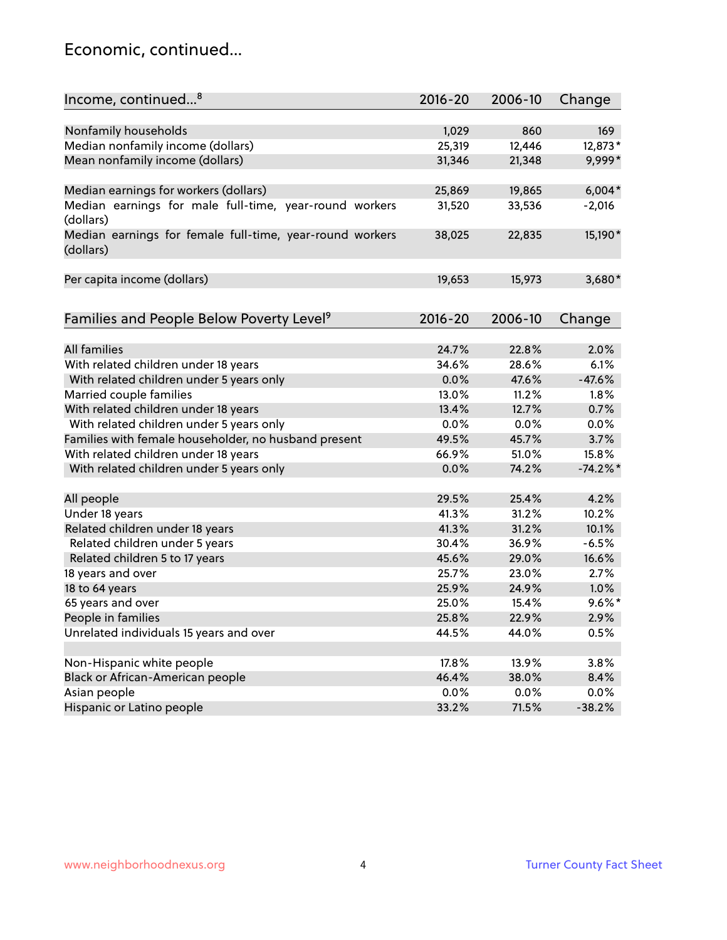### Economic, continued...

| Income, continued <sup>8</sup>                                        | $2016 - 20$ | 2006-10 | Change    |
|-----------------------------------------------------------------------|-------------|---------|-----------|
|                                                                       |             |         |           |
| Nonfamily households                                                  | 1,029       | 860     | 169       |
| Median nonfamily income (dollars)                                     | 25,319      | 12,446  | 12,873*   |
| Mean nonfamily income (dollars)                                       | 31,346      | 21,348  | 9,999*    |
| Median earnings for workers (dollars)                                 | 25,869      | 19,865  | $6,004*$  |
| Median earnings for male full-time, year-round workers                | 31,520      | 33,536  | $-2,016$  |
| (dollars)                                                             |             |         |           |
| Median earnings for female full-time, year-round workers<br>(dollars) | 38,025      | 22,835  | 15,190*   |
| Per capita income (dollars)                                           | 19,653      | 15,973  | 3,680*    |
|                                                                       |             |         |           |
| Families and People Below Poverty Level <sup>9</sup>                  | $2016 - 20$ | 2006-10 | Change    |
|                                                                       |             |         |           |
| <b>All families</b>                                                   | 24.7%       | 22.8%   | 2.0%      |
| With related children under 18 years                                  | 34.6%       | 28.6%   | 6.1%      |
| With related children under 5 years only                              | 0.0%        | 47.6%   | $-47.6%$  |
| Married couple families                                               | 13.0%       | 11.2%   | 1.8%      |
| With related children under 18 years                                  | 13.4%       | 12.7%   | 0.7%      |
| With related children under 5 years only                              | 0.0%        | 0.0%    | 0.0%      |
| Families with female householder, no husband present                  | 49.5%       | 45.7%   | 3.7%      |
| With related children under 18 years                                  | 66.9%       | 51.0%   | 15.8%     |
| With related children under 5 years only                              | 0.0%        | 74.2%   | $-74.2%$  |
| All people                                                            | 29.5%       | 25.4%   | 4.2%      |
| Under 18 years                                                        | 41.3%       | 31.2%   | 10.2%     |
| Related children under 18 years                                       | 41.3%       | 31.2%   | 10.1%     |
| Related children under 5 years                                        | 30.4%       | 36.9%   | $-6.5%$   |
| Related children 5 to 17 years                                        | 45.6%       | 29.0%   | 16.6%     |
| 18 years and over                                                     | 25.7%       | 23.0%   | 2.7%      |
| 18 to 64 years                                                        | 25.9%       | 24.9%   | 1.0%      |
|                                                                       | 25.0%       | 15.4%   | $9.6\%$ * |
| 65 years and over                                                     |             |         |           |
| People in families                                                    | 25.8%       | 22.9%   | 2.9%      |
| Unrelated individuals 15 years and over                               | 44.5%       | 44.0%   | 0.5%      |
|                                                                       |             |         |           |
| Non-Hispanic white people                                             | 17.8%       | 13.9%   | 3.8%      |
| Black or African-American people                                      | 46.4%       | 38.0%   | 8.4%      |
| Asian people                                                          | $0.0\%$     | 0.0%    | 0.0%      |
| Hispanic or Latino people                                             | 33.2%       | 71.5%   | $-38.2%$  |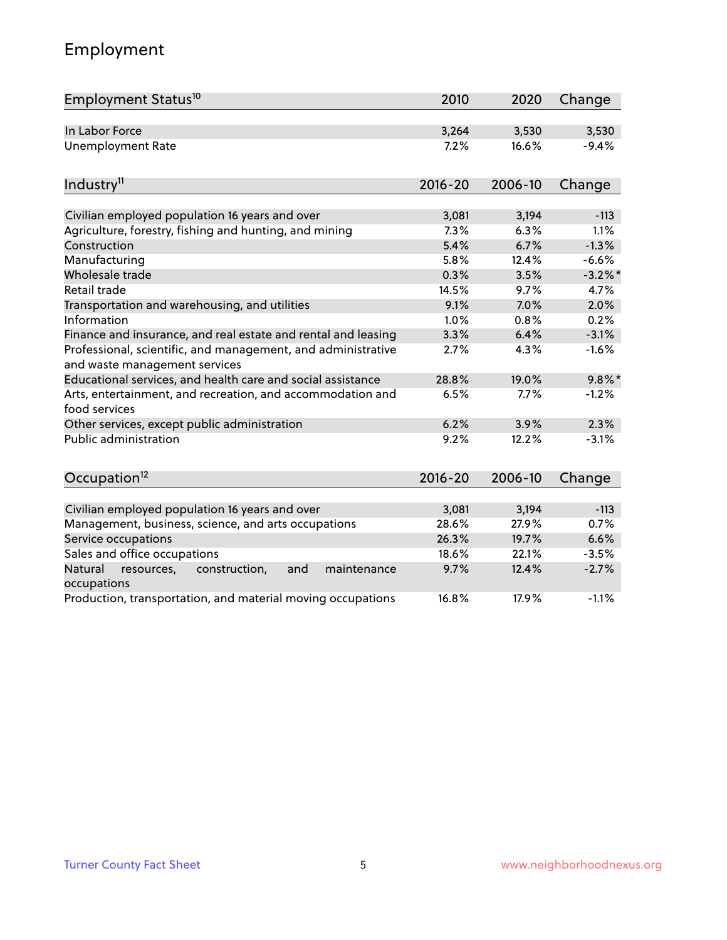# Employment

| Employment Status <sup>10</sup>                                                               | 2010        | 2020    | Change     |
|-----------------------------------------------------------------------------------------------|-------------|---------|------------|
| In Labor Force                                                                                | 3,264       | 3,530   | 3,530      |
| <b>Unemployment Rate</b>                                                                      | 7.2%        | 16.6%   | $-9.4%$    |
| Industry <sup>11</sup>                                                                        | $2016 - 20$ | 2006-10 | Change     |
|                                                                                               |             |         |            |
| Civilian employed population 16 years and over                                                | 3,081       | 3,194   | $-113$     |
| Agriculture, forestry, fishing and hunting, and mining                                        | 7.3%        | 6.3%    | 1.1%       |
| Construction                                                                                  | 5.4%        | 6.7%    | $-1.3%$    |
| Manufacturing                                                                                 | 5.8%        | 12.4%   | $-6.6%$    |
| Wholesale trade                                                                               | 0.3%        | 3.5%    | $-3.2\%$ * |
| Retail trade                                                                                  | 14.5%       | 9.7%    | 4.7%       |
| Transportation and warehousing, and utilities                                                 | 9.1%        | 7.0%    | 2.0%       |
| Information                                                                                   | 1.0%        | 0.8%    | 0.2%       |
| Finance and insurance, and real estate and rental and leasing                                 | 3.3%        | 6.4%    | $-3.1%$    |
| Professional, scientific, and management, and administrative<br>and waste management services | 2.7%        | 4.3%    | $-1.6%$    |
| Educational services, and health care and social assistance                                   | 28.8%       | 19.0%   | $9.8\%$ *  |
| Arts, entertainment, and recreation, and accommodation and<br>food services                   | 6.5%        | 7.7%    | $-1.2%$    |
| Other services, except public administration                                                  | 6.2%        | 3.9%    | 2.3%       |
| Public administration                                                                         | 9.2%        | 12.2%   | $-3.1%$    |
| Occupation <sup>12</sup>                                                                      | $2016 - 20$ | 2006-10 | Change     |
|                                                                                               |             |         |            |
| Civilian employed population 16 years and over                                                | 3,081       | 3,194   | $-113$     |
| Management, business, science, and arts occupations                                           | 28.6%       | 27.9%   | 0.7%       |
| Service occupations                                                                           | 26.3%       | 19.7%   | 6.6%       |
| Sales and office occupations                                                                  | 18.6%       | 22.1%   | $-3.5%$    |
| Natural<br>and<br>maintenance<br>resources,<br>construction,<br>occupations                   | 9.7%        | 12.4%   | $-2.7%$    |
| Production, transportation, and material moving occupations                                   | 16.8%       | 17.9%   | $-1.1%$    |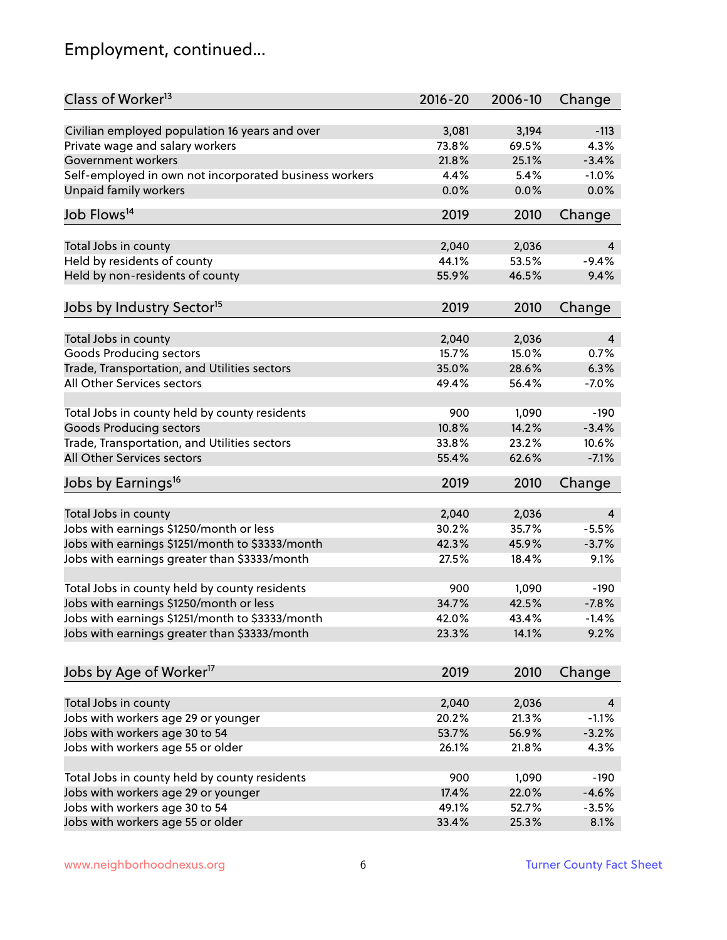# Employment, continued...

| Class of Worker <sup>13</sup>                          | $2016 - 20$ | 2006-10 | Change   |
|--------------------------------------------------------|-------------|---------|----------|
| Civilian employed population 16 years and over         | 3,081       | 3,194   | $-113$   |
| Private wage and salary workers                        | 73.8%       | 69.5%   | 4.3%     |
| Government workers                                     | 21.8%       | 25.1%   | $-3.4%$  |
| Self-employed in own not incorporated business workers | 4.4%        | 5.4%    | $-1.0%$  |
| <b>Unpaid family workers</b>                           | 0.0%        | 0.0%    | 0.0%     |
|                                                        |             |         |          |
| Job Flows <sup>14</sup>                                | 2019        | 2010    | Change   |
| Total Jobs in county                                   | 2,040       | 2,036   | 4        |
| Held by residents of county                            | 44.1%       | 53.5%   | $-9.4%$  |
|                                                        | 55.9%       | 46.5%   | 9.4%     |
| Held by non-residents of county                        |             |         |          |
| Jobs by Industry Sector <sup>15</sup>                  | 2019        | 2010    | Change   |
| Total Jobs in county                                   | 2,040       | 2,036   | 4        |
| Goods Producing sectors                                | 15.7%       | 15.0%   | 0.7%     |
| Trade, Transportation, and Utilities sectors           | 35.0%       | 28.6%   | 6.3%     |
| All Other Services sectors                             | 49.4%       | 56.4%   | $-7.0%$  |
|                                                        |             |         |          |
| Total Jobs in county held by county residents          | 900         | 1,090   | $-190$   |
| <b>Goods Producing sectors</b>                         | 10.8%       | 14.2%   | $-3.4%$  |
| Trade, Transportation, and Utilities sectors           | 33.8%       | 23.2%   | 10.6%    |
| All Other Services sectors                             | 55.4%       | 62.6%   | $-7.1%$  |
| Jobs by Earnings <sup>16</sup>                         | 2019        | 2010    | Change   |
|                                                        |             |         |          |
| Total Jobs in county                                   | 2,040       | 2,036   | 4        |
| Jobs with earnings \$1250/month or less                | 30.2%       | 35.7%   | $-5.5%$  |
| Jobs with earnings \$1251/month to \$3333/month        | 42.3%       | 45.9%   | $-3.7%$  |
| Jobs with earnings greater than \$3333/month           | 27.5%       | 18.4%   | 9.1%     |
| Total Jobs in county held by county residents          | 900         | 1,090   | $-190$   |
| Jobs with earnings \$1250/month or less                | 34.7%       | 42.5%   | $-7.8%$  |
| Jobs with earnings \$1251/month to \$3333/month        | 42.0%       | 43.4%   | $-1.4\%$ |
| Jobs with earnings greater than \$3333/month           | 23.3%       | 14.1%   | 9.2%     |
|                                                        |             |         |          |
| Jobs by Age of Worker <sup>17</sup>                    | 2019        | 2010    | Change   |
| Total Jobs in county                                   | 2,040       | 2,036   | 4        |
| Jobs with workers age 29 or younger                    | 20.2%       | 21.3%   | $-1.1%$  |
| Jobs with workers age 30 to 54                         | 53.7%       | 56.9%   | $-3.2%$  |
| Jobs with workers age 55 or older                      | 26.1%       | 21.8%   | 4.3%     |
|                                                        |             |         |          |
| Total Jobs in county held by county residents          | 900         | 1,090   | $-190$   |
| Jobs with workers age 29 or younger                    | 17.4%       | 22.0%   | $-4.6%$  |
| Jobs with workers age 30 to 54                         | 49.1%       | 52.7%   | $-3.5%$  |
| Jobs with workers age 55 or older                      | 33.4%       | 25.3%   | 8.1%     |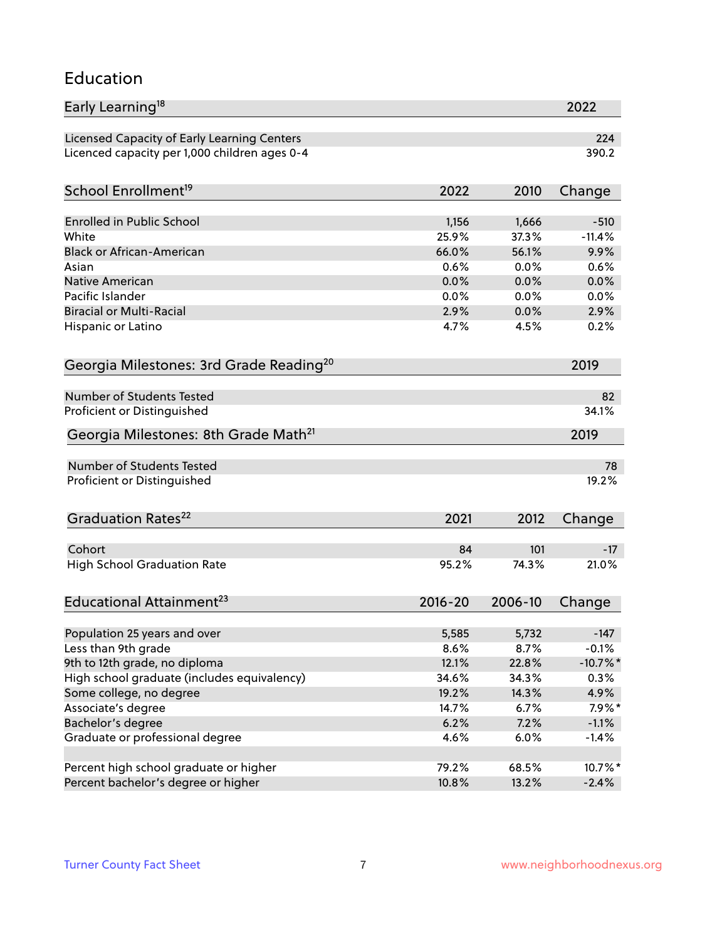### Education

| Early Learning <sup>18</sup>                        |             |         | 2022        |
|-----------------------------------------------------|-------------|---------|-------------|
| Licensed Capacity of Early Learning Centers         |             |         | 224         |
| Licenced capacity per 1,000 children ages 0-4       |             |         | 390.2       |
|                                                     |             |         |             |
| School Enrollment <sup>19</sup>                     | 2022        | 2010    | Change      |
| Enrolled in Public School                           | 1,156       | 1,666   | $-510$      |
| White                                               | 25.9%       | 37.3%   | $-11.4%$    |
| <b>Black or African-American</b>                    | 66.0%       | 56.1%   | 9.9%        |
| Asian                                               | 0.6%        | 0.0%    | 0.6%        |
| <b>Native American</b>                              | 0.0%        | 0.0%    | 0.0%        |
| Pacific Islander                                    | 0.0%        | 0.0%    | 0.0%        |
| <b>Biracial or Multi-Racial</b>                     | 2.9%        | 0.0%    | 2.9%        |
| Hispanic or Latino                                  | 4.7%        | 4.5%    | 0.2%        |
|                                                     |             |         |             |
| Georgia Milestones: 3rd Grade Reading <sup>20</sup> |             |         | 2019        |
| Number of Students Tested                           |             |         | 82          |
| Proficient or Distinguished                         |             |         | 34.1%       |
| Georgia Milestones: 8th Grade Math <sup>21</sup>    |             |         | 2019        |
| <b>Number of Students Tested</b>                    |             |         | 78          |
| Proficient or Distinguished                         |             |         | 19.2%       |
| Graduation Rates <sup>22</sup>                      | 2021        | 2012    |             |
|                                                     |             |         | Change      |
| Cohort                                              | 84          | 101     | $-17$       |
| <b>High School Graduation Rate</b>                  | 95.2%       | 74.3%   | 21.0%       |
| Educational Attainment <sup>23</sup>                | $2016 - 20$ | 2006-10 | Change      |
|                                                     |             |         |             |
| Population 25 years and over                        | 5,585       | 5,732   | $-147$      |
| Less than 9th grade                                 | 8.6%        | 8.7%    | $-0.1%$     |
| 9th to 12th grade, no diploma                       | 12.1%       | 22.8%   | $-10.7\%$ * |
| High school graduate (includes equivalency)         | 34.6%       | 34.3%   | 0.3%        |
| Some college, no degree                             | 19.2%       | 14.3%   | 4.9%        |
| Associate's degree                                  | 14.7%       | 6.7%    | $7.9\%*$    |
| Bachelor's degree                                   | 6.2%        | 7.2%    | $-1.1%$     |
| Graduate or professional degree                     | 4.6%        | 6.0%    | $-1.4%$     |
| Percent high school graduate or higher              | 79.2%       | 68.5%   | 10.7%*      |
| Percent bachelor's degree or higher                 | 10.8%       | 13.2%   | $-2.4%$     |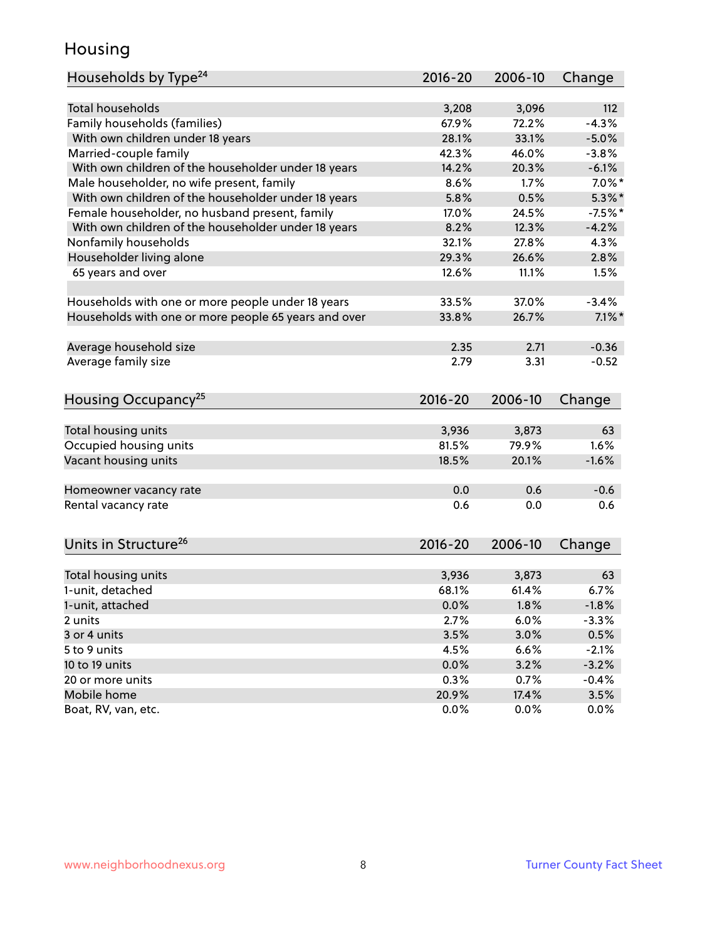### Housing

| Households by Type <sup>24</sup>                     | $2016 - 20$    | 2006-10        | Change     |
|------------------------------------------------------|----------------|----------------|------------|
|                                                      |                |                |            |
| <b>Total households</b>                              | 3,208          | 3,096          | 112        |
| Family households (families)                         | 67.9%          | 72.2%          | $-4.3%$    |
| With own children under 18 years                     | 28.1%          | 33.1%          | $-5.0%$    |
| Married-couple family                                | 42.3%          | 46.0%          | $-3.8%$    |
| With own children of the householder under 18 years  | 14.2%          | 20.3%          | $-6.1%$    |
| Male householder, no wife present, family            | 8.6%           | 1.7%           | $7.0\%$ *  |
| With own children of the householder under 18 years  | 5.8%           | 0.5%           | $5.3\%$ *  |
| Female householder, no husband present, family       | 17.0%          | 24.5%          | $-7.5%$ *  |
| With own children of the householder under 18 years  | 8.2%           | 12.3%          | $-4.2%$    |
| Nonfamily households                                 | 32.1%          | 27.8%          | 4.3%       |
| Householder living alone                             | 29.3%          | 26.6%          | 2.8%       |
| 65 years and over                                    | 12.6%          | 11.1%          | 1.5%       |
|                                                      |                |                |            |
| Households with one or more people under 18 years    | 33.5%          | 37.0%          | $-3.4%$    |
| Households with one or more people 65 years and over | 33.8%          | 26.7%          | $7.1\%$ *  |
| Average household size                               | 2.35           | 2.71           | $-0.36$    |
| Average family size                                  | 2.79           | 3.31           | $-0.52$    |
|                                                      |                |                |            |
| Housing Occupancy <sup>25</sup>                      | $2016 - 20$    | 2006-10        | Change     |
|                                                      |                |                |            |
| Total housing units                                  | 3,936<br>81.5% | 3,873<br>79.9% | 63<br>1.6% |
| Occupied housing units                               |                |                |            |
| Vacant housing units                                 | 18.5%          | 20.1%          | $-1.6%$    |
| Homeowner vacancy rate                               | 0.0            | 0.6            | $-0.6$     |
| Rental vacancy rate                                  | 0.6            | 0.0            | 0.6        |
|                                                      |                |                |            |
| Units in Structure <sup>26</sup>                     | $2016 - 20$    | 2006-10        | Change     |
|                                                      |                |                |            |
| Total housing units                                  | 3,936          | 3,873          | 63         |
| 1-unit, detached                                     | 68.1%          | 61.4%          | 6.7%       |
| 1-unit, attached                                     | 0.0%           | 1.8%           | $-1.8%$    |
| 2 units                                              | 2.7%           | 6.0%           | $-3.3%$    |
| 3 or 4 units                                         | 3.5%           | 3.0%           | 0.5%       |
| 5 to 9 units                                         | 4.5%           | 6.6%           | $-2.1%$    |
| 10 to 19 units                                       | 0.0%           | 3.2%           | $-3.2%$    |
| 20 or more units                                     | 0.3%           | 0.7%           | $-0.4%$    |
| Mobile home                                          | 20.9%          | 17.4%          | 3.5%       |
| Boat, RV, van, etc.                                  | 0.0%           | 0.0%           | $0.0\%$    |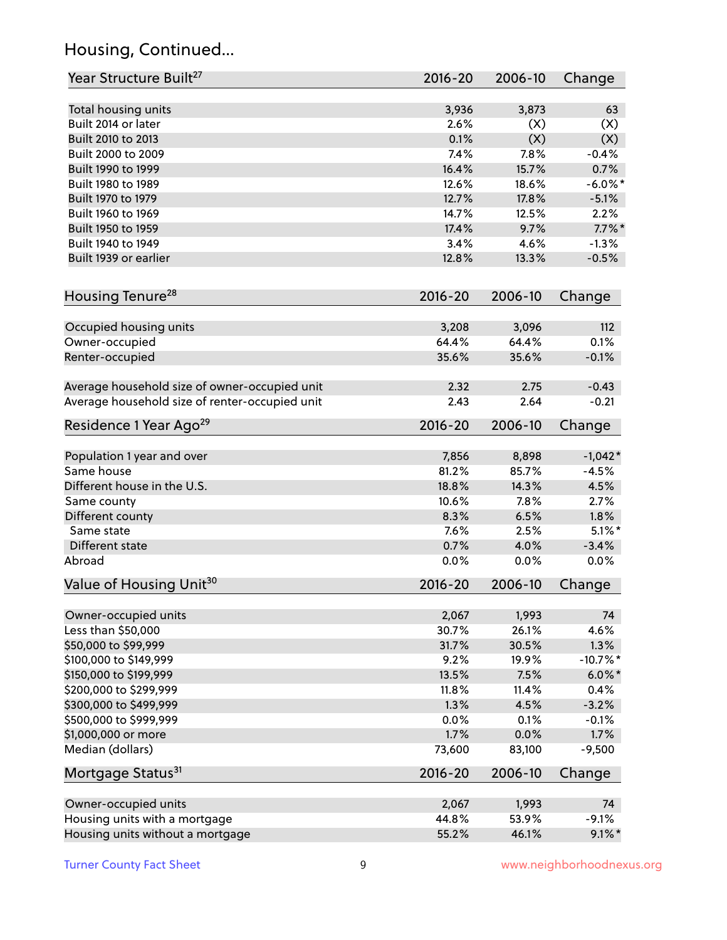# Housing, Continued...

| Year Structure Built <sup>27</sup>             | 2016-20     | 2006-10 | Change     |
|------------------------------------------------|-------------|---------|------------|
| Total housing units                            | 3,936       | 3,873   | 63         |
| Built 2014 or later                            | 2.6%        | (X)     | (X)        |
| Built 2010 to 2013                             | 0.1%        | (X)     | (X)        |
| Built 2000 to 2009                             | 7.4%        | 7.8%    | $-0.4%$    |
| Built 1990 to 1999                             | 16.4%       | 15.7%   | 0.7%       |
| Built 1980 to 1989                             | 12.6%       | 18.6%   | $-6.0\%$ * |
| Built 1970 to 1979                             | 12.7%       | 17.8%   | $-5.1%$    |
| Built 1960 to 1969                             | 14.7%       | 12.5%   | 2.2%       |
| Built 1950 to 1959                             | 17.4%       | 9.7%    | $7.7\%$ *  |
| Built 1940 to 1949                             | 3.4%        | 4.6%    | $-1.3%$    |
|                                                |             |         |            |
| Built 1939 or earlier                          | 12.8%       | 13.3%   | $-0.5%$    |
| Housing Tenure <sup>28</sup>                   | $2016 - 20$ | 2006-10 | Change     |
|                                                |             |         |            |
| Occupied housing units                         | 3,208       | 3,096   | 112        |
| Owner-occupied                                 | 64.4%       | 64.4%   | 0.1%       |
| Renter-occupied                                | 35.6%       | 35.6%   | $-0.1%$    |
| Average household size of owner-occupied unit  | 2.32        | 2.75    | $-0.43$    |
| Average household size of renter-occupied unit | 2.43        | 2.64    | $-0.21$    |
| Residence 1 Year Ago <sup>29</sup>             | $2016 - 20$ | 2006-10 | Change     |
| Population 1 year and over                     | 7,856       | 8,898   | $-1,042*$  |
| Same house                                     | 81.2%       | 85.7%   | $-4.5%$    |
| Different house in the U.S.                    | 18.8%       | 14.3%   | 4.5%       |
| Same county                                    | 10.6%       | 7.8%    | 2.7%       |
| Different county                               | 8.3%        | 6.5%    | 1.8%       |
| Same state                                     | 7.6%        | 2.5%    | $5.1\%$ *  |
| Different state                                | 0.7%        | 4.0%    | $-3.4%$    |
|                                                |             | 0.0%    | 0.0%       |
| Abroad                                         | 0.0%        |         |            |
| Value of Housing Unit <sup>30</sup>            | $2016 - 20$ | 2006-10 | Change     |
| Owner-occupied units                           | 2,067       | 1,993   | 74         |
| Less than \$50,000                             | 30.7%       | 26.1%   | 4.6%       |
| \$50,000 to \$99,999                           | 31.7%       | 30.5%   | 1.3%       |
| \$100,000 to \$149,999                         | 9.2%        | 19.9%   | $-10.7%$ * |
| \$150,000 to \$199,999                         | 13.5%       | 7.5%    | $6.0\%$ *  |
| \$200,000 to \$299,999                         | 11.8%       | 11.4%   | 0.4%       |
| \$300,000 to \$499,999                         | 1.3%        | 4.5%    | $-3.2%$    |
| \$500,000 to \$999,999                         | 0.0%        | 0.1%    | $-0.1%$    |
| \$1,000,000 or more                            | 1.7%        | 0.0%    | 1.7%       |
| Median (dollars)                               | 73,600      | 83,100  | $-9,500$   |
| Mortgage Status <sup>31</sup>                  | $2016 - 20$ | 2006-10 | Change     |
|                                                |             |         |            |
| Owner-occupied units                           | 2,067       | 1,993   | 74         |
| Housing units with a mortgage                  | 44.8%       | 53.9%   | $-9.1%$    |
| Housing units without a mortgage               | 55.2%       | 46.1%   | $9.1\%$ *  |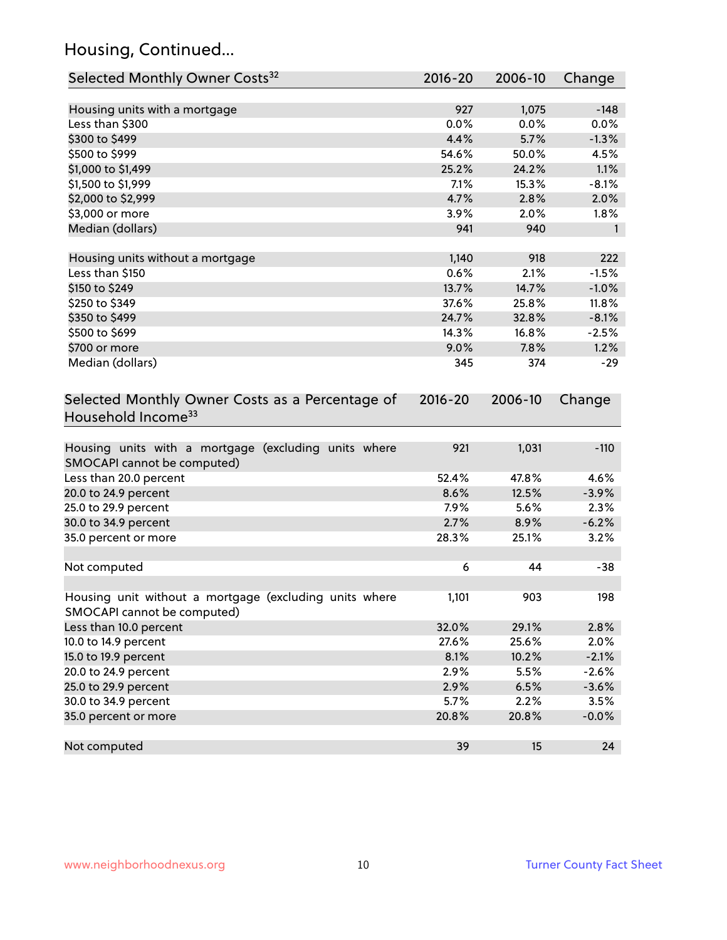# Housing, Continued...

| Selected Monthly Owner Costs <sup>32</sup>                                          | 2016-20     | 2006-10 | Change             |
|-------------------------------------------------------------------------------------|-------------|---------|--------------------|
| Housing units with a mortgage                                                       | 927         | 1,075   | $-148$             |
| Less than \$300                                                                     | 0.0%        | 0.0%    | 0.0%               |
| \$300 to \$499                                                                      | 4.4%        | 5.7%    | $-1.3%$            |
| \$500 to \$999                                                                      | 54.6%       | 50.0%   | 4.5%               |
| \$1,000 to \$1,499                                                                  | 25.2%       | 24.2%   | 1.1%               |
| \$1,500 to \$1,999                                                                  | 7.1%        | 15.3%   | $-8.1%$            |
| \$2,000 to \$2,999                                                                  | 4.7%        | 2.8%    | 2.0%               |
| \$3,000 or more                                                                     | 3.9%        | 2.0%    | 1.8%               |
| Median (dollars)                                                                    | 941         | 940     | $\mathbf{1}$       |
|                                                                                     |             |         |                    |
| Housing units without a mortgage                                                    | 1,140       | 918     | 222                |
| Less than \$150                                                                     | 0.6%        | 2.1%    | $-1.5%$            |
| \$150 to \$249                                                                      | 13.7%       | 14.7%   | $-1.0%$            |
| \$250 to \$349                                                                      | 37.6%       | 25.8%   | 11.8%              |
| \$350 to \$499                                                                      | 24.7%       | 32.8%   | $-8.1%$            |
| \$500 to \$699                                                                      | 14.3%       | 16.8%   | $-2.5%$            |
| \$700 or more                                                                       | 9.0%        | 7.8%    | 1.2%               |
| Median (dollars)                                                                    | 345         | 374     | $-29$              |
| Selected Monthly Owner Costs as a Percentage of<br>Household Income <sup>33</sup>   | $2016 - 20$ | 2006-10 | Change             |
| Housing units with a mortgage (excluding units where<br>SMOCAPI cannot be computed) | 921         | 1,031   | $-110$             |
| Less than 20.0 percent                                                              | 52.4%       | 47.8%   | 4.6%               |
| 20.0 to 24.9 percent                                                                | 8.6%        | 12.5%   | $-3.9%$            |
| 25.0 to 29.9 percent                                                                | 7.9%        | 5.6%    | 2.3%               |
| 30.0 to 34.9 percent                                                                | 2.7%        | 8.9%    | $-6.2%$            |
| 35.0 percent or more                                                                | 28.3%       | 25.1%   | 3.2%               |
| Not computed                                                                        | 6           | 44      | $-38$              |
| Housing unit without a mortgage (excluding units where                              | 1,101       | 903     | 198                |
| SMOCAPI cannot be computed)                                                         |             |         |                    |
| Less than 10.0 percent                                                              | 32.0%       | 29.1%   | 2.8%               |
| 10.0 to 14.9 percent                                                                | 27.6%       | 25.6%   | 2.0%               |
| 15.0 to 19.9 percent                                                                | 8.1%        | 10.2%   | $-2.1%$<br>$-2.6%$ |
| 20.0 to 24.9 percent                                                                | 2.9%        | 5.5%    |                    |
| 25.0 to 29.9 percent                                                                | 2.9%        | 6.5%    | $-3.6%$            |
| 30.0 to 34.9 percent                                                                | 5.7%        | 2.2%    | 3.5%               |
| 35.0 percent or more                                                                | 20.8%       | 20.8%   | $-0.0%$            |
| Not computed                                                                        | 39          | 15      | 24                 |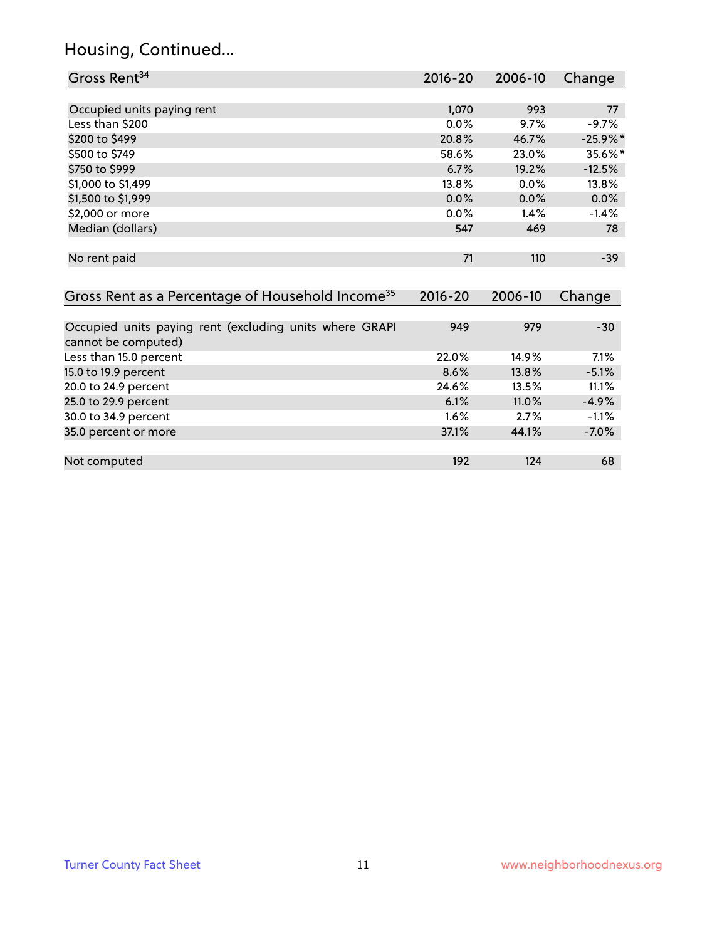# Housing, Continued...

| Gross Rent <sup>34</sup>                                     | 2016-20     | 2006-10  | Change      |
|--------------------------------------------------------------|-------------|----------|-------------|
|                                                              |             |          |             |
| Occupied units paying rent                                   | 1,070       | 993      | 77          |
| Less than \$200                                              | 0.0%        | 9.7%     | $-9.7%$     |
| \$200 to \$499                                               | 20.8%       | 46.7%    | $-25.9\%$ * |
| \$500 to \$749                                               | 58.6%       | 23.0%    | 35.6%*      |
| \$750 to \$999                                               | 6.7%        | 19.2%    | $-12.5%$    |
| \$1,000 to \$1,499                                           | 13.8%       | 0.0%     | 13.8%       |
| \$1,500 to \$1,999                                           | 0.0%        | 0.0%     | 0.0%        |
| \$2,000 or more                                              | 0.0%        | 1.4%     | $-1.4%$     |
| Median (dollars)                                             | 547         | 469      | 78          |
|                                                              |             |          |             |
| No rent paid                                                 | 71          | 110      | $-39$       |
|                                                              |             |          |             |
| Gross Rent as a Percentage of Household Income <sup>35</sup> | $2016 - 20$ | 2006-10  | Change      |
|                                                              |             |          |             |
| Occupied units paying rent (excluding units where GRAPI      | 949         | 979      | $-30$       |
| cannot be computed)                                          |             |          |             |
| Less than 15.0 percent                                       | 22.0%       | 14.9%    | 7.1%        |
| 15.0 to 19.9 percent                                         | 8.6%        | 13.8%    | $-5.1%$     |
| 20.0 to 24.9 percent                                         | 24.6%       | 13.5%    | 11.1%       |
| 25.0 to 29.9 percent                                         | 6.1%        | $11.0\%$ | $-4.9\%$    |
| 30.0 to 34.9 percent                                         | 1.6%        | 2.7%     | $-1.1%$     |
| 35.0 percent or more                                         | 37.1%       | 44.1%    | $-7.0%$     |

| Not computed | 10 <sup>7</sup> | 12a | bč |
|--------------|-----------------|-----|----|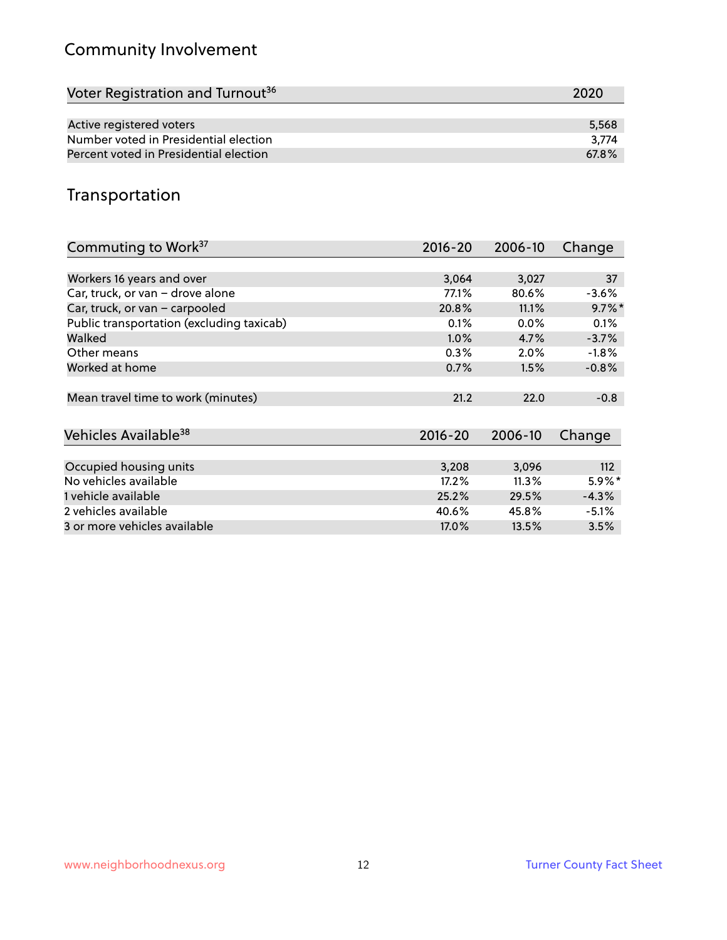# Community Involvement

| Voter Registration and Turnout <sup>36</sup> | 2020  |
|----------------------------------------------|-------|
|                                              |       |
| Active registered voters                     | 5,568 |
| Number voted in Presidential election        | 3.774 |
| Percent voted in Presidential election       | 67.8% |

# Transportation

| Commuting to Work <sup>37</sup>           | 2016-20     | 2006-10 | Change    |
|-------------------------------------------|-------------|---------|-----------|
|                                           |             |         |           |
| Workers 16 years and over                 | 3,064       | 3,027   | 37        |
| Car, truck, or van - drove alone          | 77.1%       | 80.6%   | $-3.6%$   |
| Car, truck, or van - carpooled            | 20.8%       | 11.1%   | $9.7\%$ * |
| Public transportation (excluding taxicab) | 0.1%        | 0.0%    | 0.1%      |
| Walked                                    | $1.0\%$     | 4.7%    | $-3.7%$   |
| Other means                               | 0.3%        | $2.0\%$ | $-1.8\%$  |
| Worked at home                            | 0.7%        | 1.5%    | $-0.8%$   |
|                                           |             |         |           |
| Mean travel time to work (minutes)        | 21.2        | 22.0    | $-0.8$    |
|                                           |             |         |           |
| Vehicles Available <sup>38</sup>          | $2016 - 20$ | 2006-10 | Change    |
|                                           |             |         |           |
| Occupied housing units                    | 3,208       | 3,096   | 112       |
| No vehicles available                     | 17.2%       | 11.3%   | $5.9\%*$  |
| 1 vehicle available                       | 25.2%       | 29.5%   | $-4.3%$   |
| 2 vehicles available                      | 40.6%       | 45.8%   | $-5.1%$   |
| 3 or more vehicles available              | 17.0%       | 13.5%   | 3.5%      |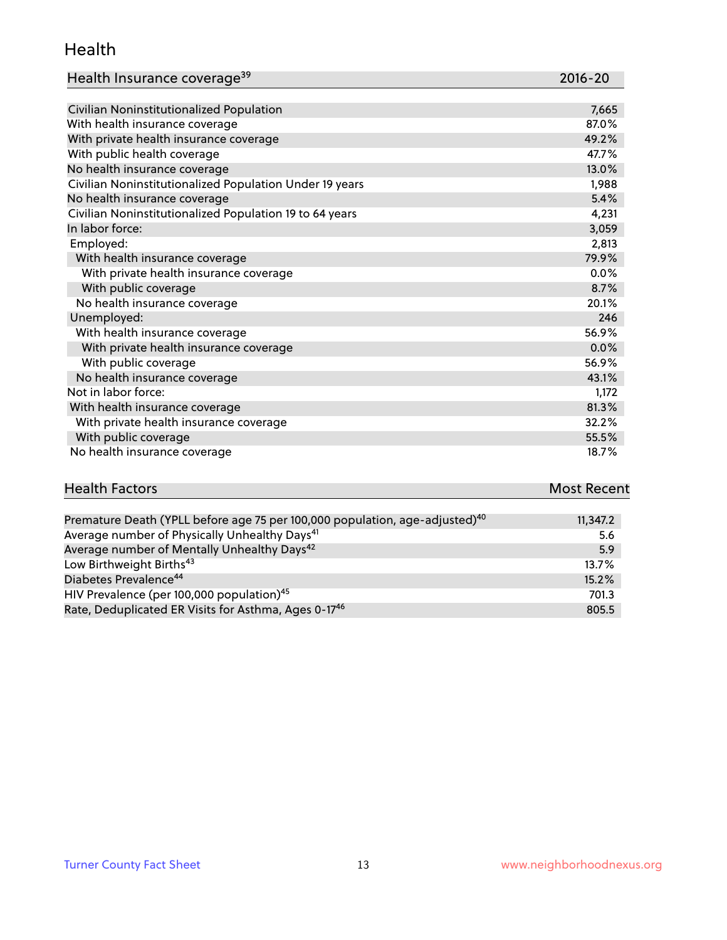#### Health

| Health Insurance coverage <sup>39</sup> | 2016-20 |
|-----------------------------------------|---------|
|-----------------------------------------|---------|

| Civilian Noninstitutionalized Population                | 7,665 |
|---------------------------------------------------------|-------|
| With health insurance coverage                          | 87.0% |
| With private health insurance coverage                  | 49.2% |
| With public health coverage                             | 47.7% |
| No health insurance coverage                            | 13.0% |
| Civilian Noninstitutionalized Population Under 19 years | 1,988 |
| No health insurance coverage                            | 5.4%  |
| Civilian Noninstitutionalized Population 19 to 64 years | 4,231 |
| In labor force:                                         | 3,059 |
| Employed:                                               | 2,813 |
| With health insurance coverage                          | 79.9% |
| With private health insurance coverage                  | 0.0%  |
| With public coverage                                    | 8.7%  |
| No health insurance coverage                            | 20.1% |
| Unemployed:                                             | 246   |
| With health insurance coverage                          | 56.9% |
| With private health insurance coverage                  | 0.0%  |
| With public coverage                                    | 56.9% |
| No health insurance coverage                            | 43.1% |
| Not in labor force:                                     | 1,172 |
| With health insurance coverage                          | 81.3% |
| With private health insurance coverage                  | 32.2% |
| With public coverage                                    | 55.5% |
| No health insurance coverage                            | 18.7% |

| <b>Health Factors</b> | <b>Most Recent</b> |
|-----------------------|--------------------|
|                       |                    |

| Premature Death (YPLL before age 75 per 100,000 population, age-adjusted) <sup>40</sup> | 11,347.2 |
|-----------------------------------------------------------------------------------------|----------|
| Average number of Physically Unhealthy Days <sup>41</sup>                               | 5.6      |
| Average number of Mentally Unhealthy Days <sup>42</sup>                                 | 5.9      |
| Low Birthweight Births <sup>43</sup>                                                    | $13.7\%$ |
| Diabetes Prevalence <sup>44</sup>                                                       | 15.2%    |
| HIV Prevalence (per 100,000 population) <sup>45</sup>                                   | 701.3    |
| Rate, Deduplicated ER Visits for Asthma, Ages 0-17 <sup>46</sup>                        | 805.5    |